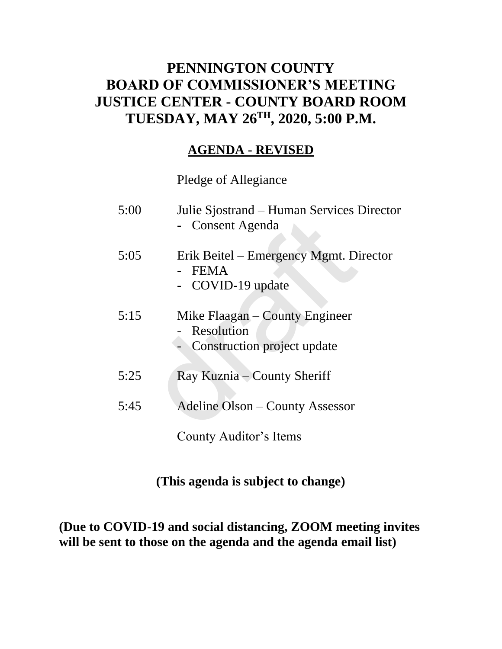## **PENNINGTON COUNTY BOARD OF COMMISSIONER'S MEETING JUSTICE CENTER - COUNTY BOARD ROOM TUESDAY, MAY 26TH , 2020, 5:00 P.M.**

### **AGENDA - REVISED**

Pledge of Allegiance

| 5:00 | Julie Sjostrand – Human Services Director<br>- Consent Agenda               |
|------|-----------------------------------------------------------------------------|
| 5:05 | Erik Beitel – Emergency Mgmt. Director<br><b>FEMA</b><br>- COVID-19 update  |
| 5:15 | Mike Flaagan – County Engineer<br>Resolution<br>Construction project update |
| 5:25 | Ray Kuznia – County Sheriff                                                 |
| 5:45 | <b>Adeline Olson - County Assessor</b>                                      |
|      | County Auditor's Items                                                      |

### **(This agenda is subject to change)**

**(Due to COVID-19 and social distancing, ZOOM meeting invites will be sent to those on the agenda and the agenda email list)**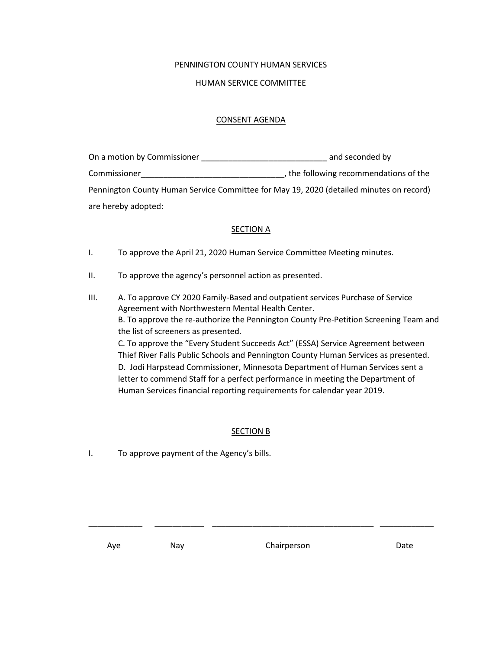#### PENNINGTON COUNTY HUMAN SERVICES

#### HUMAN SERVICE COMMITTEE

#### CONSENT AGENDA

| On a motion by Commissioner | and seconded by                                                                         |
|-----------------------------|-----------------------------------------------------------------------------------------|
| Commissioner                | , the following recommendations of the                                                  |
|                             | Pennington County Human Service Committee for May 19, 2020 (detailed minutes on record) |
| are hereby adopted:         |                                                                                         |

#### **SECTION A**

- I. To approve the April 21, 2020 Human Service Committee Meeting minutes.
- II. To approve the agency's personnel action as presented.
- III. A. To approve CY 2020 Family-Based and outpatient services Purchase of Service Agreement with Northwestern Mental Health Center. B. To approve the re-authorize the Pennington County Pre-Petition Screening Team and the list of screeners as presented. C. To approve the "Every Student Succeeds Act" (ESSA) Service Agreement between Thief River Falls Public Schools and Pennington County Human Services as presented. D. Jodi Harpstead Commissioner, Minnesota Department of Human Services sent a letter to commend Staff for a perfect performance in meeting the Department of Human Services financial reporting requirements for calendar year 2019.

### SECTION B

\_\_\_\_\_\_\_\_\_\_\_\_ \_\_\_\_\_\_\_\_\_\_\_ \_\_\_\_\_\_\_\_\_\_\_\_\_\_\_\_\_\_\_\_\_\_\_\_\_\_\_\_\_\_\_\_\_\_\_\_ \_\_\_\_\_\_\_\_\_\_\_\_

I. To approve payment of the Agency's bills.

Aye Nay Nay Chairperson Date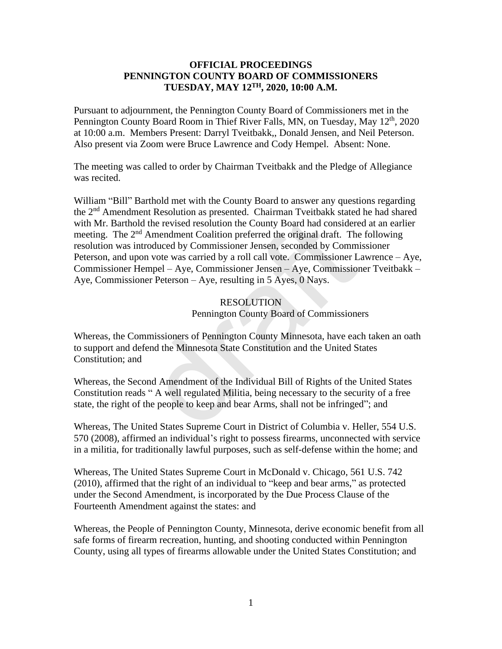### **OFFICIAL PROCEEDINGS PENNINGTON COUNTY BOARD OF COMMISSIONERS TUESDAY, MAY 12 TH, 2020, 10:00 A.M.**

Pursuant to adjournment, the Pennington County Board of Commissioners met in the Pennington County Board Room in Thief River Falls, MN, on Tuesday, May 12<sup>th</sup>, 2020 at 10:00 a.m. Members Present: Darryl Tveitbakk,, Donald Jensen, and Neil Peterson. Also present via Zoom were Bruce Lawrence and Cody Hempel. Absent: None.

The meeting was called to order by Chairman Tveitbakk and the Pledge of Allegiance was recited.

William "Bill" Barthold met with the County Board to answer any questions regarding the 2nd Amendment Resolution as presented. Chairman Tveitbakk stated he had shared with Mr. Barthold the revised resolution the County Board had considered at an earlier meeting. The 2<sup>nd</sup> Amendment Coalition preferred the original draft. The following resolution was introduced by Commissioner Jensen, seconded by Commissioner Peterson, and upon vote was carried by a roll call vote. Commissioner Lawrence – Aye, Commissioner Hempel – Aye, Commissioner Jensen – Aye, Commissioner Tveitbakk – Aye, Commissioner Peterson – Aye, resulting in 5 Ayes, 0 Nays. 1 the revised resolution the County Board had considered Amendment Coalition the County Board had considered Amendment Coalition preferred the original draft. The troduced by Commissioner Jensen, seconded by Commissioner J

### RESOLUTION Pennington County Board of Commissioners

Whereas, the Commissioners of Pennington County Minnesota, have each taken an oath to support and defend the Minnesota State Constitution and the United States Constitution; and

Whereas, the Second Amendment of the Individual Bill of Rights of the United States Constitution reads " A well regulated Militia, being necessary to the security of a free state, the right of the people to keep and bear Arms, shall not be infringed"; and

Whereas, The United States Supreme Court in District of Columbia v. Heller, 554 U.S. 570 (2008), affirmed an individual's right to possess firearms, unconnected with service in a militia, for traditionally lawful purposes, such as self-defense within the home; and

Whereas, The United States Supreme Court in McDonald v. Chicago, 561 U.S. 742 (2010), affirmed that the right of an individual to "keep and bear arms," as protected under the Second Amendment, is incorporated by the Due Process Clause of the Fourteenth Amendment against the states: and

Whereas, the People of Pennington County, Minnesota, derive economic benefit from all safe forms of firearm recreation, hunting, and shooting conducted within Pennington County, using all types of firearms allowable under the United States Constitution; and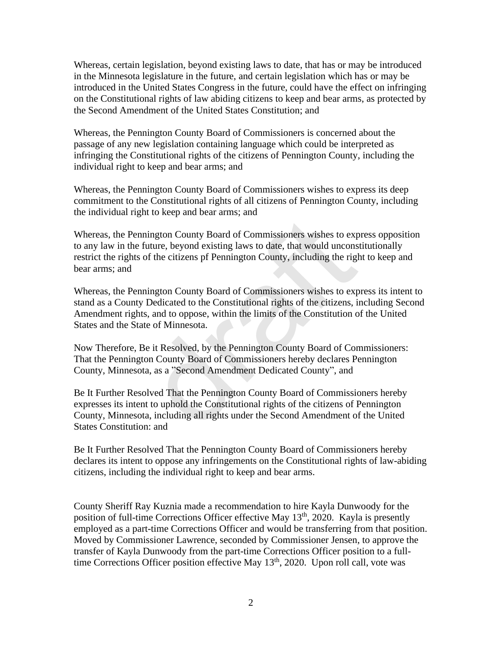Whereas, certain legislation, beyond existing laws to date, that has or may be introduced in the Minnesota legislature in the future, and certain legislation which has or may be introduced in the United States Congress in the future, could have the effect on infringing on the Constitutional rights of law abiding citizens to keep and bear arms, as protected by the Second Amendment of the United States Constitution; and

Whereas, the Pennington County Board of Commissioners is concerned about the passage of any new legislation containing language which could be interpreted as infringing the Constitutional rights of the citizens of Pennington County, including the individual right to keep and bear arms; and

Whereas, the Pennington County Board of Commissioners wishes to express its deep commitment to the Constitutional rights of all citizens of Pennington County, including the individual right to keep and bear arms; and

Whereas, the Pennington County Board of Commissioners wishes to express opposition to any law in the future, beyond existing laws to date, that would unconstitutionally restrict the rights of the citizens pf Pennington County, including the right to keep and bear arms; and mington County Board of Commissioners wishes to explait<br>future, beyond existing laws to date, that would uncons<br>of the citizens pf Pennington County, including the righ<br>mington County Board of Commissioners wishes to exp<br>D

Whereas, the Pennington County Board of Commissioners wishes to express its intent to stand as a County Dedicated to the Constitutional rights of the citizens, including Second Amendment rights, and to oppose, within the limits of the Constitution of the United States and the State of Minnesota.

Now Therefore, Be it Resolved, by the Pennington County Board of Commissioners: That the Pennington County Board of Commissioners hereby declares Pennington County, Minnesota, as a "Second Amendment Dedicated County", and

Be It Further Resolved That the Pennington County Board of Commissioners hereby expresses its intent to uphold the Constitutional rights of the citizens of Pennington County, Minnesota, including all rights under the Second Amendment of the United States Constitution: and

Be It Further Resolved That the Pennington County Board of Commissioners hereby declares its intent to oppose any infringements on the Constitutional rights of law-abiding citizens, including the individual right to keep and bear arms.

County Sheriff Ray Kuznia made a recommendation to hire Kayla Dunwoody for the position of full-time Corrections Officer effective May 13<sup>th</sup>, 2020. Kayla is presently employed as a part-time Corrections Officer and would be transferring from that position. Moved by Commissioner Lawrence, seconded by Commissioner Jensen, to approve the transfer of Kayla Dunwoody from the part-time Corrections Officer position to a fulltime Corrections Officer position effective May 13<sup>th</sup>, 2020. Upon roll call, vote was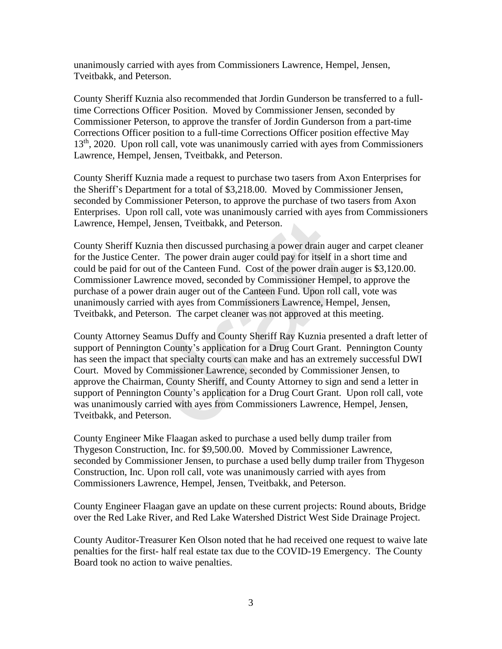unanimously carried with ayes from Commissioners Lawrence, Hempel, Jensen, Tveitbakk, and Peterson.

County Sheriff Kuznia also recommended that Jordin Gunderson be transferred to a fulltime Corrections Officer Position. Moved by Commissioner Jensen, seconded by Commissioner Peterson, to approve the transfer of Jordin Gunderson from a part-time Corrections Officer position to a full-time Corrections Officer position effective May 13<sup>th</sup>, 2020. Upon roll call, vote was unanimously carried with ayes from Commissioners Lawrence, Hempel, Jensen, Tveitbakk, and Peterson.

County Sheriff Kuznia made a request to purchase two tasers from Axon Enterprises for the Sheriff's Department for a total of \$3,218.00. Moved by Commissioner Jensen, seconded by Commissioner Peterson, to approve the purchase of two tasers from Axon Enterprises. Upon roll call, vote was unanimously carried with ayes from Commissioners Lawrence, Hempel, Jensen, Tveitbakk, and Peterson.

County Sheriff Kuznia then discussed purchasing a power drain auger and carpet cleaner for the Justice Center. The power drain auger could pay for itself in a short time and could be paid for out of the Canteen Fund. Cost of the power drain auger is \$3,120.00. Commissioner Lawrence moved, seconded by Commissioner Hempel, to approve the purchase of a power drain auger out of the Canteen Fund. Upon roll call, vote was unanimously carried with ayes from Commissioners Lawrence, Hempel, Jensen, Tveitbakk, and Peterson. The carpet cleaner was not approved at this meeting.

County Attorney Seamus Duffy and County Sheriff Ray Kuznia presented a draft letter of support of Pennington County's application for a Drug Court Grant. Pennington County has seen the impact that specialty courts can make and has an extremely successful DWI Court. Moved by Commissioner Lawrence, seconded by Commissioner Jensen, to approve the Chairman, County Sheriff, and County Attorney to sign and send a letter in support of Pennington County's application for a Drug Court Grant. Upon roll call, vote was unanimously carried with ayes from Commissioners Lawrence, Hempel, Jensen, Tveitbakk, and Peterson. el, Jensen, Tveitbakk, and Peterson.<br>
uznia then discussed purchasing a power drain auger are<br>
nurnia then discussed purchasing a power drain auger are<br>
nurnia then discussed purchasing a power drain auger are<br>
nurnia auge

County Engineer Mike Flaagan asked to purchase a used belly dump trailer from Thygeson Construction, Inc. for \$9,500.00. Moved by Commissioner Lawrence, seconded by Commissioner Jensen, to purchase a used belly dump trailer from Thygeson Construction, Inc. Upon roll call, vote was unanimously carried with ayes from Commissioners Lawrence, Hempel, Jensen, Tveitbakk, and Peterson.

County Engineer Flaagan gave an update on these current projects: Round abouts, Bridge over the Red Lake River, and Red Lake Watershed District West Side Drainage Project.

County Auditor-Treasurer Ken Olson noted that he had received one request to waive late penalties for the first- half real estate tax due to the COVID-19 Emergency. The County Board took no action to waive penalties.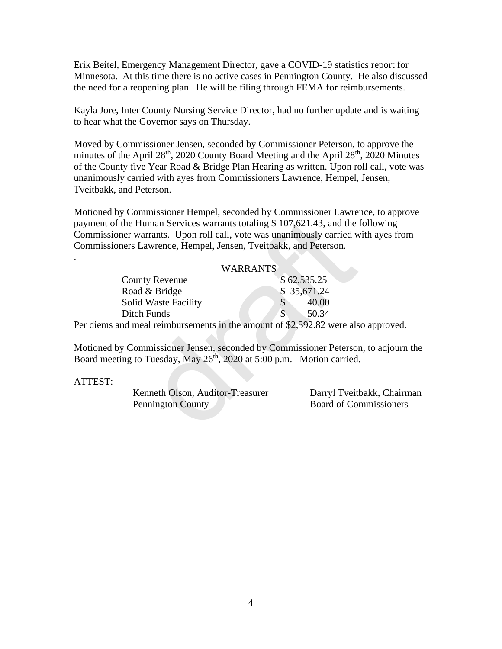Erik Beitel, Emergency Management Director, gave a COVID-19 statistics report for Minnesota. At this time there is no active cases in Pennington County. He also discussed the need for a reopening plan. He will be filing through FEMA for reimbursements.

Kayla Jore, Inter County Nursing Service Director, had no further update and is waiting to hear what the Governor says on Thursday.

Moved by Commissioner Jensen, seconded by Commissioner Peterson, to approve the minutes of the April 28<sup>th</sup>, 2020 County Board Meeting and the April 28<sup>th</sup>, 2020 Minutes of the County five Year Road & Bridge Plan Hearing as written. Upon roll call, vote was unanimously carried with ayes from Commissioners Lawrence, Hempel, Jensen, Tveitbakk, and Peterson.

Motioned by Commissioner Hempel, seconded by Commissioner Lawrence, to approve payment of the Human Services warrants totaling \$ 107,621.43, and the following Commissioner warrants. Upon roll call, vote was unanimously carried with ayes from Commissioners Lawrence, Hempel, Jensen, Tveitbakk, and Peterson.

#### WARRANTS

| bayment of the Human Services warrants totaling \$107,621.43, and the<br>Commissioner warrants. Upon roll call, vote was unanimously carried w<br>Commissioners Lawrence, Hempel, Jensen, Tveitbakk, and Peterson. |                 |
|--------------------------------------------------------------------------------------------------------------------------------------------------------------------------------------------------------------------|-----------------|
|                                                                                                                                                                                                                    |                 |
|                                                                                                                                                                                                                    | <b>WARRANTS</b> |
| <b>County Revenue</b>                                                                                                                                                                                              | \$62,535.25     |
| Road & Bridge                                                                                                                                                                                                      | \$ 35,671.24    |
| <b>Solid Waste Facility</b>                                                                                                                                                                                        | 40.00<br>\$     |
| Ditch Funds                                                                                                                                                                                                        | \$<br>50.34     |
| Per diems and meal reimbursements in the amount of \$2,592.82 were als                                                                                                                                             |                 |
|                                                                                                                                                                                                                    |                 |
| Motioned by Commissioner Jensen, seconded by Commissioner Peterson                                                                                                                                                 |                 |
| Board meeting to Tuesday, May 26 <sup>th</sup> , 2020 at 5:00 p.m. Motion carried                                                                                                                                  |                 |
|                                                                                                                                                                                                                    |                 |
| <b>ATTEST:</b>                                                                                                                                                                                                     |                 |
| Kenneth Olson, Auditor-Treasurer                                                                                                                                                                                   | Darryl Tveit    |
| Pennington County                                                                                                                                                                                                  | Board of Co.    |
|                                                                                                                                                                                                                    |                 |
|                                                                                                                                                                                                                    |                 |

Per diems and meal reimbursements in the amount of \$2,592.82 were also approved.

Motioned by Commissioner Jensen, seconded by Commissioner Peterson, to adjourn the Board meeting to Tuesday, May 26<sup>th</sup>, 2020 at 5:00 p.m. Motion carried.

#### ATTEST:

.

Kenneth Olson, Auditor-Treasurer Darryl Tveitbakk, Chairman Pennington County

Board of Commissioners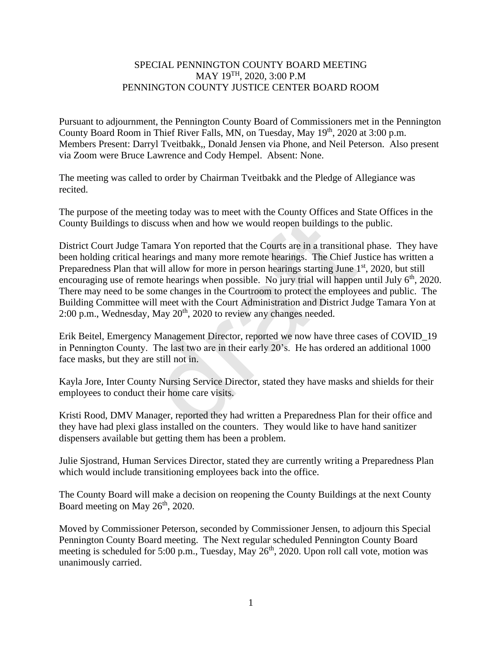### SPECIAL PENNINGTON COUNTY BOARD MEETING MAY 19TH, 2020, 3:00 P.M PENNINGTON COUNTY JUSTICE CENTER BOARD ROOM

Pursuant to adjournment, the Pennington County Board of Commissioners met in the Pennington County Board Room in Thief River Falls, MN, on Tuesday, May 19<sup>th</sup>, 2020 at 3:00 p.m. Members Present: Darryl Tveitbakk,, Donald Jensen via Phone, and Neil Peterson. Also present via Zoom were Bruce Lawrence and Cody Hempel. Absent: None.

The meeting was called to order by Chairman Tveitbakk and the Pledge of Allegiance was recited.

The purpose of the meeting today was to meet with the County Offices and State Offices in the County Buildings to discuss when and how we would reopen buildings to the public.

District Court Judge Tamara Yon reported that the Courts are in a transitional phase. They have been holding critical hearings and many more remote hearings. The Chief Justice has written a Preparedness Plan that will allow for more in person hearings starting June 1<sup>st</sup>, 2020, but still encouraging use of remote hearings when possible. No jury trial will happen until July  $6<sup>th</sup>$ , 2020. There may need to be some changes in the Courtroom to protect the employees and public. The Building Committee will meet with the Court Administration and District Judge Tamara Yon at 2:00 p.m., Wednesday, May 20<sup>th</sup>, 2020 to review any changes needed. discuss when and how we would reopen buildings to th<br>Tamara Yon reported that the Courts are in a transition<br>hearings and many more remote hearings. The Chief J<sub>i</sub><br>at will allow for more in person hearings starting June 1<br>

Erik Beitel, Emergency Management Director, reported we now have three cases of COVID\_19 in Pennington County. The last two are in their early 20's. He has ordered an additional 1000 face masks, but they are still not in.

Kayla Jore, Inter County Nursing Service Director, stated they have masks and shields for their employees to conduct their home care visits.

Kristi Rood, DMV Manager, reported they had written a Preparedness Plan for their office and they have had plexi glass installed on the counters. They would like to have hand sanitizer dispensers available but getting them has been a problem.

Julie Sjostrand, Human Services Director, stated they are currently writing a Preparedness Plan which would include transitioning employees back into the office.

The County Board will make a decision on reopening the County Buildings at the next County Board meeting on May 26<sup>th</sup>, 2020.

Moved by Commissioner Peterson, seconded by Commissioner Jensen, to adjourn this Special Pennington County Board meeting. The Next regular scheduled Pennington County Board meeting is scheduled for 5:00 p.m., Tuesday, May 26<sup>th</sup>, 2020. Upon roll call vote, motion was unanimously carried.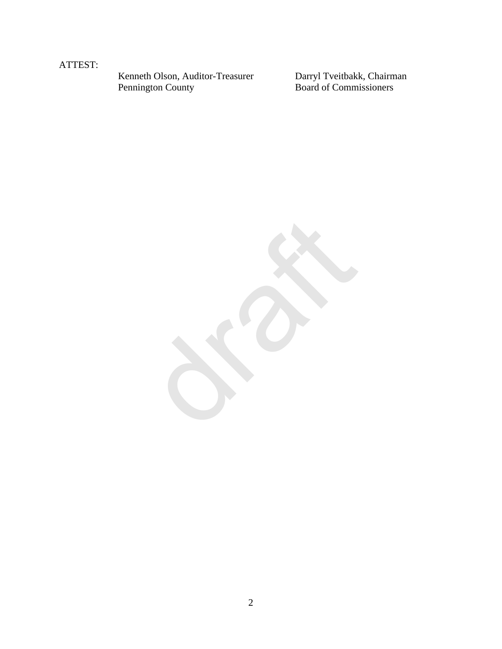### ATTEST:

Kenneth Olson, Auditor-Treasurer<br>Pennington County

Darryl Tveitbakk, Chairman<br>Board of Commissioners

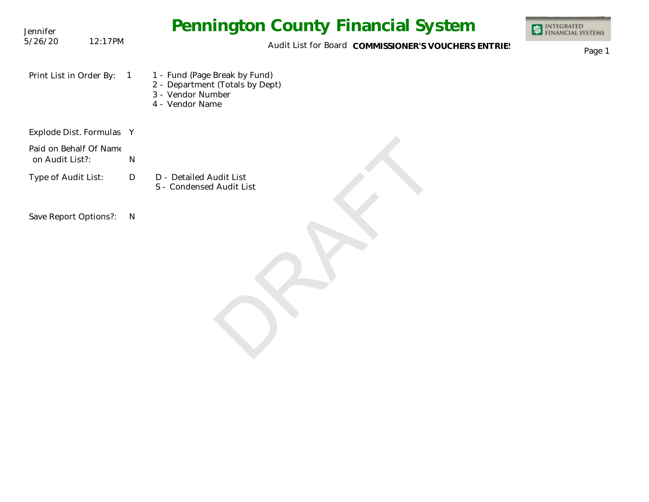| Jennifer                                  |                | <b>Pennington County Financial System</b>                                                                | <b>INTEGRATED</b><br>FINANCIAL SYSTEMS |
|-------------------------------------------|----------------|----------------------------------------------------------------------------------------------------------|----------------------------------------|
| 5/26/20                                   | 12:17PM        | Audit List for Board COMMISSIONER'S VOUCHERS ENTRIES                                                     | Page 1                                 |
| Print List in Order By:                   | $\overline{1}$ | 1 - Fund (Page Break by Fund)<br>2 - Department (Totals by Dept)<br>3 - Vendor Number<br>4 - Vendor Name |                                        |
| Explode Dist. Formulas Y                  |                |                                                                                                          |                                        |
| Paid on Behalf Of Name<br>on Audit List?: | N              |                                                                                                          |                                        |
| Type of Audit List:                       | D              | D - Detailed Audit List<br>S - Condensed Audit List                                                      |                                        |
| Save Report Options?:                     | $\mathsf{N}$   |                                                                                                          |                                        |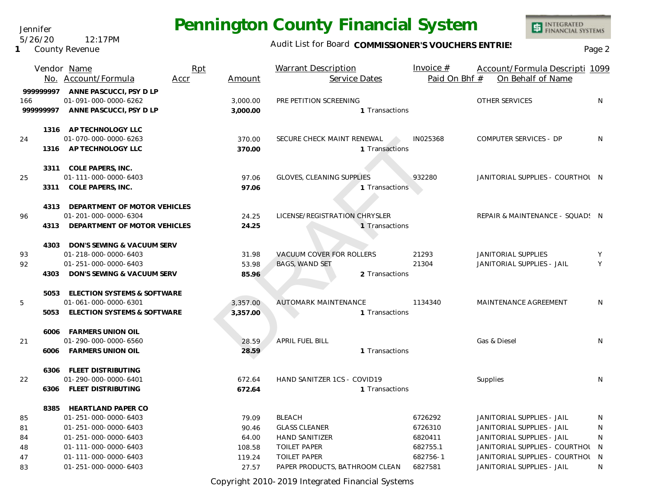### Audit List for Board COMMISSIONER'S VOUCHERS ENTRIES<br>Page 2

|          | Vendor Name                       | Rpt  |          | <b>Warrant Description</b>       | Invoice $#$   | Account/Formula Descripti 1099   |    |
|----------|-----------------------------------|------|----------|----------------------------------|---------------|----------------------------------|----|
|          | No. Account/Formula               | Accr | Amount   | Service Dates                    | Paid On Bhf # | On Behalf of Name                |    |
| 99999997 | ANNE PASCUCCI, PSY D LP           |      |          |                                  |               |                                  |    |
| 166      | 01-091-000-0000-6262              |      | 3,000.00 | PRE PETITION SCREENING           |               | OTHER SERVICES                   | N  |
| 99999997 | ANNE PASCUCCI, PSY D LP           |      | 3,000.00 | 1 Transactions                   |               |                                  |    |
|          | 1316 AP TECHNOLOGY LLC            |      |          |                                  |               |                                  |    |
| 24       | 01-070-000-0000-6263              |      | 370.00   | SECURE CHECK MAINT RENEWAL       | IN025368      | COMPUTER SERVICES - DP           | N  |
|          | 1316 AP TECHNOLOGY LLC            |      | 370.00   | 1 Transactions                   |               |                                  |    |
|          | 3311 COLE PAPERS, INC.            |      |          |                                  |               |                                  |    |
| 25       | 01-111-000-0000-6403              |      | 97.06    | <b>GLOVES, CLEANING SUPPLIES</b> | 932280        | JANITORIAL SUPPLIES - COURTHOL N |    |
|          | 3311 COLE PAPERS, INC.            |      | 97.06    | 1 Transactions                   |               |                                  |    |
|          | 4313 DEPARTMENT OF MOTOR VEHICLES |      |          |                                  |               |                                  |    |
| 96       | 01-201-000-0000-6304              |      | 24.25    | LICENSE/REGISTRATION CHRYSLER    |               | REPAIR & MAINTENANCE - SQUAD! N  |    |
| 4313     | DEPARTMENT OF MOTOR VEHICLES      |      | 24.25    | 1 Transactions                   |               |                                  |    |
|          | 4303 DON'S SEWING & VACUUM SERV   |      |          |                                  |               |                                  |    |
| 93       | 01-218-000-0000-6403              |      | 31.98    | <b>VACUUM COVER FOR ROLLERS</b>  | 21293         | JANITORIAL SUPPLIES              | Y  |
| 92       | 01-251-000-0000-6403              |      | 53.98    | <b>BAGS, WAND SET</b>            | 21304         | JANITORIAL SUPPLIES - JAIL       | Y  |
| 4303     | DON'S SEWING & VACUUM SERV        |      | 85.96    | 2 Transactions                   |               |                                  |    |
|          | 5053 ELECTION SYSTEMS & SOFTWARE  |      |          |                                  |               |                                  |    |
| 5        | 01-061-000-0000-6301              |      | 3,357.00 | <b>AUTOMARK MAINTENANCE</b>      | 1134340       | MAINTENANCE AGREEMENT            | N  |
|          | 5053 ELECTION SYSTEMS & SOFTWARE  |      | 3,357.00 | 1 Transactions                   |               |                                  |    |
|          | 6006 FARMERS UNION OIL            |      |          |                                  |               |                                  |    |
| 21       | 01-290-000-0000-6560              |      | 28.59    | <b>APRIL FUEL BILL</b>           |               | Gas & Diesel                     | N. |
|          | 6006 FARMERS UNION OIL            |      | 28.59    | 1 Transactions                   |               |                                  |    |
|          | 6306 FLEET DISTRIBUTING           |      |          |                                  |               |                                  |    |
| 22       | 01-290-000-0000-6401              |      | 672.64   | HAND SANITZER 1CS - COVID19      |               | Supplies                         | N. |
| 6306     | FLEET DISTRIBUTING                |      | 672.64   | 1 Transactions                   |               |                                  |    |
|          | 8385 HEARTLAND PAPER CO           |      |          |                                  |               |                                  |    |
| 85       | 01-251-000-0000-6403              |      | 79.09    | <b>BLEACH</b>                    | 6726292       | JANITORIAL SUPPLIES - JAIL       | N  |
| 81       | 01-251-000-0000-6403              |      | 90.46    | <b>GLASS CLEANER</b>             | 6726310       | JANITORIAL SUPPLIES - JAIL       | N  |
| 84       | 01-251-000-0000-6403              |      | 64.00    | <b>HAND SANITIZER</b>            | 6820411       | JANITORIAL SUPPLIES - JAIL       | N  |
| 48       | 01-111-000-0000-6403              |      | 108.58   | <b>TOILET PAPER</b>              | 682755.1      | JANITORIAL SUPPLIES - COURTHOL N |    |
| 47       | 01-111-000-0000-6403              |      | 119.24   | <b>TOILET PAPER</b>              | 682756-1      | JANITORIAL SUPPLIES - COURTHOL N |    |
| 83       | 01-251-000-0000-6403              |      | 27.57    | PAPER PRODUCTS, BATHROOM CLEAN   | 6827581       | JANITORIAL SUPPLIES - JAIL       | N  |

Copyright 2010-2019 Integrated Financial Systems

Jennifer 5/26/20 12:17PM

**1** County Revenue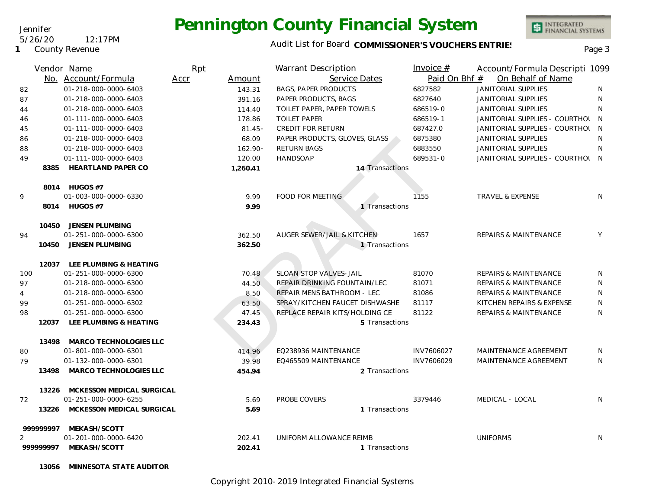### Audit List for Board COMMISSIONER'S VOUCHERS ENTRIES<br>Page 3

|                | Vendor Name                  | Rpt            | <b>Warrant Description</b>     | Invoice $#$     | Account/Formula Descripti 1099     |                |
|----------------|------------------------------|----------------|--------------------------------|-----------------|------------------------------------|----------------|
|                | No. Account/Formula          | Accr<br>Amount | Service Dates                  |                 | Paid On Bhf #<br>On Behalf of Name |                |
| 82             | 01-218-000-0000-6403         | 143.31         | <b>BAGS, PAPER PRODUCTS</b>    | 6827582         | <b>JANITORIAL SUPPLIES</b>         | N              |
| 87             | 01-218-000-0000-6403         | 391.16         | PAPER PRODUCTS, BAGS           | 6827640         | <b>JANITORIAL SUPPLIES</b>         | N              |
| 44             | 01-218-000-0000-6403         | 114.40         | TOILET PAPER, PAPER TOWELS     | 686519-0        | JANITORIAL SUPPLIES                | N              |
| 46             | 01-111-000-0000-6403         | 178.86         | <b>TOILET PAPER</b>            | 686519-1        | JANITORIAL SUPPLIES - COURTHOL     | $\overline{N}$ |
| 45             | 01-111-000-0000-6403         | $81.45 -$      | <b>CREDIT FOR RETURN</b>       | 687427.0        | JANITORIAL SUPPLIES - COURTHOL     | $\overline{N}$ |
| 86             | 01-218-000-0000-6403         | 68.09          | PAPER PRODUCTS, GLOVES, GLASS  | 6875380         | <b>JANITORIAL SUPPLIES</b>         | N              |
| 88             | 01-218-000-0000-6403         | $162.90 -$     | <b>RETURN BAGS</b>             | 6883550         | JANITORIAL SUPPLIES                | N              |
| 49             | 01-111-000-0000-6403         | 120.00         | <b>HANDSOAP</b>                | 689531-0        | JANITORIAL SUPPLIES - COURTHOL N   |                |
| 8385           | <b>HEARTLAND PAPER CO</b>    | 1,260.41       |                                | 14 Transactions |                                    |                |
|                | 8014 HUGOS #7                |                |                                |                 |                                    |                |
| 9              | 01-003-000-0000-6330         | 9.99           | FOOD FOR MEETING               | 1155            | TRAVEL & EXPENSE                   | N              |
|                | 8014 HUGOS #7                | 9.99           |                                | 1 Transactions  |                                    |                |
| 10450          | JENSEN PLUMBING              |                |                                |                 |                                    |                |
| 94             | 01-251-000-0000-6300         | 362.50         | AUGER SEWER/JAIL & KITCHEN     | 1657            | <b>REPAIRS &amp; MAINTENANCE</b>   | Y              |
| 10450          | JENSEN PLUMBING              | 362.50         |                                | 1 Transactions  |                                    |                |
|                | 12037 LEE PLUMBING & HEATING |                |                                |                 |                                    |                |
| 100            | 01-251-000-0000-6300         | 70.48          | SLOAN STOP VALVES-JAIL         | 81070           | <b>REPAIRS &amp; MAINTENANCE</b>   | N              |
| 97             | 01-218-000-0000-6300         | 44.50          | REPAIR DRINKING FOUNTAIN/LEC   | 81071           | <b>REPAIRS &amp; MAINTENANCE</b>   | N              |
| $\overline{4}$ | 01-218-000-0000-6300         | 8.50           | REPAIR MENS BATHROOM - LEC     | 81086           | <b>REPAIRS &amp; MAINTENANCE</b>   | N              |
| 99             | 01-251-000-0000-6302         | 63.50          | SPRAY/KITCHEN FAUCET DISHWASHE | 81117           | KITCHEN REPAIRS & EXPENSE          | N              |
| 98             | 01-251-000-0000-6300         | 47.45          | REPLACE REPAIR KITS/HOLDING CE | 81122           | <b>REPAIRS &amp; MAINTENANCE</b>   | N              |
|                | 12037 LEE PLUMBING & HEATING | 234.43         |                                | 5 Transactions  |                                    |                |
| 13498          | MARCO TECHNOLOGIES LLC       |                |                                |                 |                                    |                |
| 80             | 01-801-000-0000-6301         | 414.96         | EQ238936 MAINTENANCE           | INV7606027      | MAINTENANCE AGREEMENT              | N              |
| 79             | 01-132-000-0000-6301         | 39.98          | EQ465509 MAINTENANCE           | INV7606029      | <b>MAINTENANCE AGREEMENT</b>       | N              |
| 13498          | MARCO TECHNOLOGIES LLC       | 454.94         |                                | 2 Transactions  |                                    |                |
| 13226          | MCKESSON MEDICAL SURGICAL    |                |                                |                 |                                    |                |
| 72             | 01-251-000-0000-6255         | 5.69           | PROBE COVERS                   | 3379446         | MEDICAL - LOCAL                    | N              |
| 13226          | MCKESSON MEDICAL SURGICAL    | 5.69           |                                | 1 Transactions  |                                    |                |
| 999999997      | MEKASH/SCOTT                 |                |                                |                 |                                    |                |
|                | 01-201-000-0000-6420         | 202.41         | UNIFORM ALLOWANCE REIMB        |                 | <b>UNIFORMS</b>                    | N              |
| 99999997       | MEKASH/SCOTT                 | 202.41         |                                | 1 Transactions  |                                    |                |
|                |                              |                |                                |                 |                                    |                |

**13056 MINNESOTA STATE AUDITOR**

Jennifer

**1** County Revenue

5/26/20 12:17PM

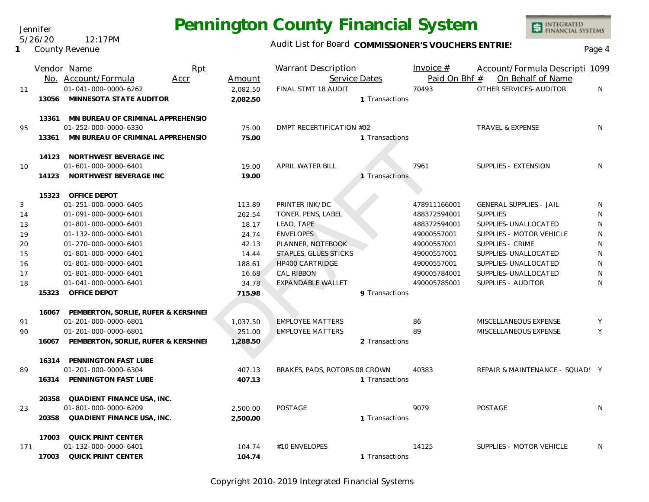Audit List for Board COMMISSIONER'S VOUCHERS ENTRIES<br>Page 4

|     |       | Vendor Name                         | Rpt  |          | <b>Warrant Description</b>    |                | Invoice $#$   | Account/Formula Descripti 1099  |           |
|-----|-------|-------------------------------------|------|----------|-------------------------------|----------------|---------------|---------------------------------|-----------|
|     |       | No. Account/Formula                 | Accr | Amount   |                               | Service Dates  | Paid On Bhf # | On Behalf of Name               |           |
| 11  |       | 01-041-000-0000-6262                |      | 2,082.50 | FINAL STMT 18 AUDIT           |                | 70493         | OTHER SERVICES-AUDITOR          | N.        |
|     | 13056 | MINNESOTA STATE AUDITOR             |      | 2,082.50 |                               | 1 Transactions |               |                                 |           |
|     | 13361 | MN BUREAU OF CRIMINAL APPREHENSIO   |      |          |                               |                |               |                                 |           |
| 95  |       | 01-252-000-0000-6330                |      | 75.00    | DMPT RECERTIFICATION #02      |                |               | <b>TRAVEL &amp; EXPENSE</b>     | N         |
|     | 13361 | MN BUREAU OF CRIMINAL APPREHENSIO   |      | 75.00    |                               | 1 Transactions |               |                                 |           |
|     |       | 14123 NORTHWEST BEVERAGE INC        |      |          |                               |                |               |                                 |           |
| 10  |       | 01-601-000-0000-6401                |      | 19.00    | APRIL WATER BILL              |                | 7961          | SUPPLIES - EXTENSION            | N         |
|     | 14123 | NORTHWEST BEVERAGE INC              |      | 19.00    |                               | 1 Transactions |               |                                 |           |
|     | 15323 | <b>OFFICE DEPOT</b>                 |      |          |                               |                |               |                                 |           |
| 3   |       | 01-251-000-0000-6405                |      | 113.89   | PRINTER INK/DC                |                | 478911166001  | <b>GENERAL SUPPLIES - JAIL</b>  | N         |
| 14  |       | 01-091-000-0000-6401                |      | 262.54   | TONER, PENS, LABEL            |                | 488372594001  | <b>SUPPLIES</b>                 | ${\sf N}$ |
| 13  |       | 01-801-000-0000-6401                |      | 18.17    | LEAD, TAPE                    |                | 488372594001  | SUPPLIES-UNALLOCATED            | N         |
| 19  |       | 01-132-000-0000-6401                |      | 24.74    | <b>ENVELOPES</b>              |                | 49000557001   | SUPPLIES - MOTOR VEHICLE        | ${\sf N}$ |
| 20  |       | 01-270-000-0000-6401                |      | 42.13    | PLANNER, NOTEBOOK             |                | 49000557001   | <b>SUPPLIES - CRIME</b>         | ${\sf N}$ |
| 15  |       | 01-801-000-0000-6401                |      | 14.44    | STAPLES, GLUES STICKS         |                | 49000557001   | SUPPLIES-UNALLOCATED            | ${\sf N}$ |
| 16  |       | 01-801-000-0000-6401                |      | 188.61   | <b>HP400 CARTRIDGE</b>        |                | 49000557001   | SUPPLIES-UNALLOCATED            | ${\sf N}$ |
| 17  |       | 01-801-000-0000-6401                |      | 16.68    | <b>CAL RIBBON</b>             |                | 490005784001  | SUPPLIES-UNALLOCATED            | ${\sf N}$ |
| 18  |       | 01-041-000-0000-6401                |      | 34.78    | EXPANDABLE WALLET             |                | 490005785001  | SUPPLIES - AUDITOR              | N         |
|     | 15323 | OFFICE DEPOT                        |      | 715.98   |                               | 9 Transactions |               |                                 |           |
|     | 16067 | PEMBERTON, SORLIE, RUFER & KERSHNEI |      |          |                               |                |               |                                 |           |
| 91  |       | 01-201-000-0000-6801                |      | 1,037.50 | <b>EMPLOYEE MATTERS</b>       |                | 86            | MISCELLANEOUS EXPENSE           | Y         |
| 90  |       | 01-201-000-0000-6801                |      | 251.00   | <b>EMPLOYEE MATTERS</b>       |                | 89            | MISCELLANEOUS EXPENSE           | Y         |
|     | 16067 | PEMBERTON, SORLIE, RUFER & KERSHNEI |      | 1,288.50 |                               | 2 Transactions |               |                                 |           |
|     | 16314 | PENNINGTON FAST LUBE                |      |          |                               |                |               |                                 |           |
| 89  |       | 01-201-000-0000-6304                |      | 407.13   | BRAKES, PADS, ROTORS 08 CROWN |                | 40383         | REPAIR & MAINTENANCE - SQUAD! Y |           |
|     | 16314 | PENNINGTON FAST LUBE                |      | 407.13   |                               | 1 Transactions |               |                                 |           |
|     | 20358 | QUADIENT FINANCE USA, INC.          |      |          |                               |                |               |                                 |           |
| 23  |       | 01-801-000-0000-6209                |      | 2,500.00 | POSTAGE                       |                | 9079          | <b>POSTAGE</b>                  | N         |
|     | 20358 | QUADIENT FINANCE USA, INC.          |      | 2,500.00 |                               | 1 Transactions |               |                                 |           |
|     | 17003 | QUICK PRINT CENTER                  |      |          |                               |                |               |                                 |           |
| 171 |       | 01-132-000-0000-6401                |      | 104.74   | #10 ENVELOPES                 |                | 14125         | SUPPLIES - MOTOR VEHICLE        | N         |
|     | 17003 | QUICK PRINT CENTER                  |      | 104.74   |                               | 1 Transactions |               |                                 |           |

Copyright 2010-2019 Integrated Financial Systems

Jennifer 5/26/20 12:17PM

#### **1** County Revenue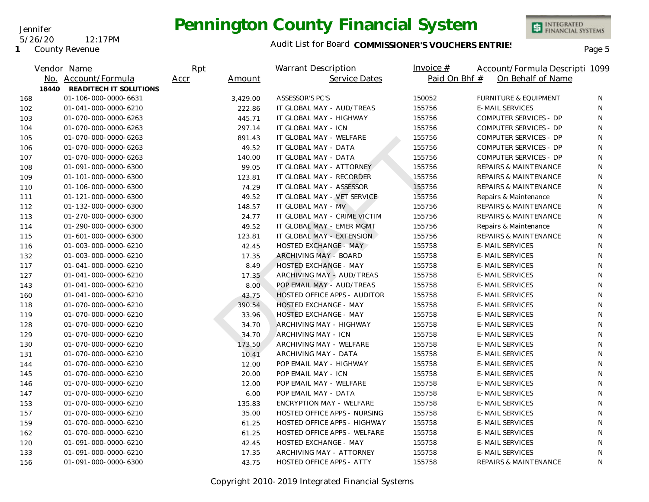INTEGRATED<br>FINANCIAL SYSTEMS

**1** County Revenue

5/26/20 12:17PM

Jennifer

### Audit List for Board COMMISSIONER'S VOUCHERS ENTRIES<br>Page 5

|     |       | Vendor Name            | Rpt  |          | <b>Warrant Description</b>       | Invoice $#$   | Account/Formula Descripti 1099   |              |
|-----|-------|------------------------|------|----------|----------------------------------|---------------|----------------------------------|--------------|
|     |       | No. Account/Formula    | Accr | Amount   | Service Dates                    | Paid On Bhf # | On Behalf of Name                |              |
|     | 18440 | READITECH IT SOLUTIONS |      |          |                                  |               |                                  |              |
| 168 |       | 01-106-000-0000-6631   |      | 3,429.00 | ASSESSOR'S PC'S                  | 150052        | <b>FURNITURE &amp; EQUIPMENT</b> | N            |
| 102 |       | 01-041-000-0000-6210   |      | 222.86   | IT GLOBAL MAY - AUD/TREAS        | 155756        | <b>E-MAIL SERVICES</b>           | N            |
| 103 |       | 01-070-000-0000-6263   |      | 445.71   | IT GLOBAL MAY - HIGHWAY          | 155756        | COMPUTER SERVICES - DP           | N            |
| 104 |       | 01-070-000-0000-6263   |      | 297.14   | IT GLOBAL MAY - ICN              | 155756        | COMPUTER SERVICES - DP           | N            |
| 105 |       | 01-070-000-0000-6263   |      | 891.43   | IT GLOBAL MAY - WELFARE          | 155756        | COMPUTER SERVICES - DP           | $\mathsf{N}$ |
| 106 |       | 01-070-000-0000-6263   |      | 49.52    | IT GLOBAL MAY - DATA             | 155756        | COMPUTER SERVICES - DP           | N            |
| 107 |       | 01-070-000-0000-6263   |      | 140.00   | IT GLOBAL MAY - DATA             | 155756        | COMPUTER SERVICES - DP           | N            |
| 108 |       | 01-091-000-0000-6300   |      | 99.05    | IT GLOBAL MAY - ATTORNEY         | 155756        | <b>REPAIRS &amp; MAINTENANCE</b> | N            |
| 109 |       | 01-101-000-0000-6300   |      | 123.81   | IT GLOBAL MAY - RECORDER         | 155756        | REPAIRS & MAINTENANCE            | N            |
| 110 |       | 01-106-000-0000-6300   |      | 74.29    | IT GLOBAL MAY - ASSESSOR         | 155756        | REPAIRS & MAINTENANCE            | N            |
| 111 |       | 01-121-000-0000-6300   |      | 49.52    | IT GLOBAL MAY - VET SERVICE      | 155756        | Repairs & Maintenance            | N            |
| 112 |       | 01-132-000-0000-6300   |      | 148.57   | IT GLOBAL MAY - MV               | 155756        | <b>REPAIRS &amp; MAINTENANCE</b> | N            |
| 113 |       | 01-270-000-0000-6300   |      | 24.77    | IT GLOBAL MAY - CRIME VICTIM     | 155756        | <b>REPAIRS &amp; MAINTENANCE</b> | N            |
| 114 |       | 01-290-000-0000-6300   |      | 49.52    | IT GLOBAL MAY - EMER MGMT        | 155756        | Repairs & Maintenance            | N            |
| 115 |       | 01-601-000-0000-6300   |      | 123.81   | IT GLOBAL MAY - EXTENSION        | 155756        | <b>REPAIRS &amp; MAINTENANCE</b> | N            |
| 116 |       | 01-003-000-0000-6210   |      | 42.45    | <b>HOSTED EXCHANGE 4 MAY</b>     | 155758        | <b>E-MAIL SERVICES</b>           | N            |
| 132 |       | 01-003-000-0000-6210   |      | 17.35    | ARCHIVING MAY - BOARD            | 155758        | <b>E-MAIL SERVICES</b>           | N            |
| 117 |       | 01-041-000-0000-6210   |      | 8.49     | HOSTED EXCHANGE - MAY            | 155758        | <b>E-MAIL SERVICES</b>           | N            |
| 127 |       | 01-041-000-0000-6210   |      | 17.35    | ARCHIVING MAY - AUD/TREAS        | 155758        | <b>E-MAIL SERVICES</b>           | N            |
| 143 |       | 01-041-000-0000-6210   |      | 8.00     | POP EMAIL MAY - AUD/TREAS        | 155758        | <b>E-MAIL SERVICES</b>           | N            |
| 160 |       | 01-041-000-0000-6210   |      | 43.75    | HOSTED OFFICE APPS - AUDITOR     | 155758        | <b>E-MAIL SERVICES</b>           | N            |
| 118 |       | 01-070-000-0000-6210   |      | 390.54   | HOSTED EXCHANGE - MAY            | 155758        | <b>E-MAIL SERVICES</b>           | N            |
| 119 |       | 01-070-000-0000-6210   |      | 33.96    | HOSTED EXCHANGE - MAY            | 155758        | <b>E-MAIL SERVICES</b>           | N            |
| 128 |       | 01-070-000-0000-6210   |      | 34.70    | ARCHIVING MAY - HIGHWAY          | 155758        | <b>E-MAIL SERVICES</b>           | N            |
| 129 |       | 01-070-000-0000-6210   |      | 34.70    | ARCHIVING MAY - ICN              | 155758        | <b>E-MAIL SERVICES</b>           | N            |
| 130 |       | 01-070-000-0000-6210   |      | 173.50   | ARCHIVING MAY - WELFARE          | 155758        | <b>E-MAIL SERVICES</b>           | N            |
| 131 |       | 01-070-000-0000-6210   |      | 10.41    | ARCHIVING MAY - DATA             | 155758        | <b>E-MAIL SERVICES</b>           | N            |
| 144 |       | 01-070-000-0000-6210   |      | 12.00    | POP EMAIL MAY - HIGHWAY          | 155758        | <b>E-MAIL SERVICES</b>           | N            |
| 145 |       | 01-070-000-0000-6210   |      | 20.00    | POP EMAIL MAY - ICN              | 155758        | <b>E-MAIL SERVICES</b>           | N            |
| 146 |       | 01-070-000-0000-6210   |      | 12.00    | POP EMAIL MAY - WELFARE          | 155758        | <b>E-MAIL SERVICES</b>           | N            |
| 147 |       | 01-070-000-0000-6210   |      | 6.00     | POP EMAIL MAY - DATA             | 155758        | <b>E-MAIL SERVICES</b>           | N            |
| 153 |       | 01-070-000-0000-6210   |      | 135.83   | <b>ENCRYPTION MAY - WELFARE</b>  | 155758        | <b>E-MAIL SERVICES</b>           | N            |
| 157 |       | 01-070-000-0000-6210   |      | 35.00    | HOSTED OFFICE APPS - NURSING     | 155758        | <b>E-MAIL SERVICES</b>           | N            |
| 159 |       | 01-070-000-0000-6210   |      | 61.25    | HOSTED OFFICE APPS - HIGHWAY     | 155758        | <b>E-MAIL SERVICES</b>           | N            |
| 162 |       | 01-070-000-0000-6210   |      | 61.25    | HOSTED OFFICE APPS - WELFARE     | 155758        | E-MAIL SERVICES                  | N            |
| 120 |       | 01-091-000-0000-6210   |      | 42.45    | HOSTED EXCHANGE - MAY            | 155758        | <b>E-MAIL SERVICES</b>           | N            |
| 133 |       | 01-091-000-0000-6210   |      | 17.35    | ARCHIVING MAY - ATTORNEY         | 155758        | <b>E-MAIL SERVICES</b>           | N            |
| 156 |       | 01-091-000-0000-6300   |      | 43.75    | <b>HOSTED OFFICE APPS - ATTY</b> | 155758        | <b>REPAIRS &amp; MAINTENANCE</b> | N            |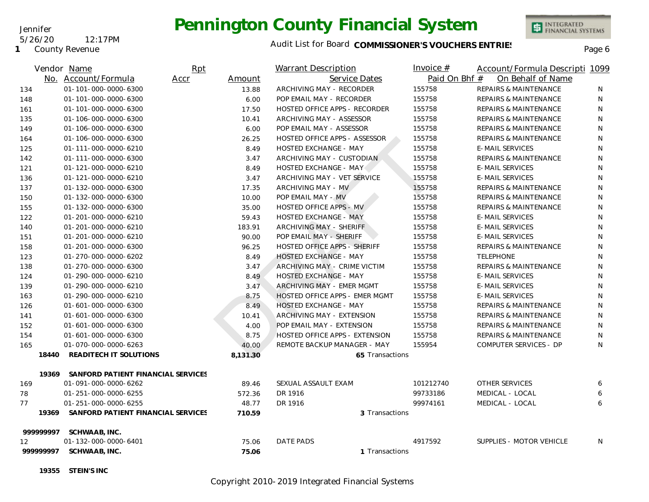#### Jennifer

#### 5/26/20 12:17PM

**1** County Revenue

## **Pennington County Financial System**



INTEGRATED<br>FINANCIAL SYSTEMS

|           | Vendor Name                        | Rpt            | <b>Warrant Description</b>     | Invoice $#$   | Account/Formula Descripti 1099   |    |
|-----------|------------------------------------|----------------|--------------------------------|---------------|----------------------------------|----|
|           | No. Account/Formula                | Accr<br>Amount | Service Dates                  | Paid On Bhf # | On Behalf of Name                |    |
| 134       | 01-101-000-0000-6300               | 13.88          | ARCHIVING MAY - RECORDER       | 155758        | <b>REPAIRS &amp; MAINTENANCE</b> | N. |
| 148       | 01-101-000-0000-6300               | 6.00           | POP EMAIL MAY - RECORDER       | 155758        | <b>REPAIRS &amp; MAINTENANCE</b> | N  |
| 161       | 01-101-000-0000-6300               | 17.50          | HOSTED OFFICE APPS - RECORDER  | 155758        | <b>REPAIRS &amp; MAINTENANCE</b> | N  |
| 135       | 01-106-000-0000-6300               | 10.41          | ARCHIVING MAY - ASSESSOR       | 155758        | <b>REPAIRS &amp; MAINTENANCE</b> | N  |
| 149       | 01-106-000-0000-6300               | 6.00           | POP EMAIL MAY - ASSESSOR       | 155758        | <b>REPAIRS &amp; MAINTENANCE</b> | N  |
| 164       | 01-106-000-0000-6300               | 26.25          | HOSTED OFFICE APPS - ASSESSOR  | 155758        | <b>REPAIRS &amp; MAINTENANCE</b> | N  |
| 125       | 01-111-000-0000-6210               | 8.49           | HOSTED EXCHANGE - MAY          | 155758        | <b>E-MAIL SERVICES</b>           | N  |
| 142       | 01-111-000-0000-6300               | 3.47           | ARCHIVING MAY - CUSTODIAN      | 155758        | <b>REPAIRS &amp; MAINTENANCE</b> | N  |
| 121       | 01-121-000-0000-6210               | 8.49           | <b>HOSTED EXCHANGE - MAY</b>   | 155758        | <b>E-MAIL SERVICES</b>           | N  |
| 136       | 01-121-000-0000-6210               | 3.47           | ARCHIVING MAY - VET SERVICE    | 155758        | <b>E-MAIL SERVICES</b>           | N  |
| 137       | 01-132-000-0000-6300               | 17.35          | ARCHIVING MAY - MV             | 155758        | <b>REPAIRS &amp; MAINTENANCE</b> | N  |
| 150       | 01-132-000-0000-6300               | 10.00          | POP EMAIL MAY - MV             | 155758        | REPAIRS & MAINTENANCE            | N  |
| 155       | 01-132-000-0000-6300               | 35.00          | HOSTED OFFICE APPS - MV        | 155758        | <b>REPAIRS &amp; MAINTENANCE</b> | N  |
| 122       | 01-201-000-0000-6210               | 59.43          | <b>HOSTED EXCHANGE - MAY</b>   | 155758        | <b>E-MAIL SERVICES</b>           | N  |
| 140       | 01-201-000-0000-6210               | 183.91         | ARCHIVING MAY - SHERIFF        | 155758        | <b>E-MAIL SERVICES</b>           | N  |
| 151       | 01-201-000-0000-6210               | 90.00          | POP EMAIL MAY - SHERIFF        | 155758        | <b>E-MAIL SERVICES</b>           | N  |
| 158       | 01-201-000-0000-6300               | 96.25          | HOSTED OFFICE APPS - SHERIFF   | 155758        | <b>REPAIRS &amp; MAINTENANCE</b> | N  |
| 123       | 01-270-000-0000-6202               | 8.49           | HOSTED EXCHANGE - MAY          | 155758        | <b>TELEPHONE</b>                 | N  |
| 138       | 01-270-000-0000-6300               | 3.47           | ARCHIVING MAY - CRIME VICTIM   | 155758        | <b>REPAIRS &amp; MAINTENANCE</b> | N  |
| 124       | 01-290-000-0000-6210               | 8.49           | <b>HOSTED EXCHANGE - MAY</b>   | 155758        | <b>E-MAIL SERVICES</b>           | N  |
| 139       | 01-290-000-0000-6210               | 3.47           | ARCHIVING MAY - EMER MGMT      | 155758        | <b>E-MAIL SERVICES</b>           | N  |
| 163       | 01-290-000-0000-6210               | 8.75           | HOSTED OFFICE APPS - EMER MGMT | 155758        | <b>E-MAIL SERVICES</b>           | N  |
| 126       | 01-601-000-0000-6300               | 8.49           | <b>HOSTED EXCHANGE - MAY</b>   | 155758        | <b>REPAIRS &amp; MAINTENANCE</b> | N  |
| 141       | 01-601-000-0000-6300               | 10.41          | ARCHIVING MAY - EXTENSION      | 155758        | REPAIRS & MAINTENANCE            | N  |
| 152       | 01-601-000-0000-6300               | 4.00           | POP EMAIL MAY - EXTENSION      | 155758        | <b>REPAIRS &amp; MAINTENANCE</b> | N  |
| 154       | 01-601-000-0000-6300               | 8.75           | HOSTED OFFICE APPS - EXTENSION | 155758        | <b>REPAIRS &amp; MAINTENANCE</b> | N  |
| 165       | 01-070-000-0000-6263               | 40.00          | REMOTE BACKUP MANAGER - MAY    | 155954        | COMPUTER SERVICES - DP           | N  |
| 18440     | READITECH IT SOLUTIONS             | 8,131.30       | 65 Transactions                |               |                                  |    |
| 19369     | SANFORD PATIENT FINANCIAL SERVICES |                |                                |               |                                  |    |
| 169       | 01-091-000-0000-6262               | 89.46          | SEXUAL ASSAULT EXAM            | 101212740     | OTHER SERVICES                   | 6  |
| 78        | 01-251-000-0000-6255               | 572.36         | DR 1916                        | 99733186      | MEDICAL - LOCAL                  | 6  |
| 77        | 01-251-000-0000-6255               | 48.77          | DR 1916                        | 99974161      | MEDICAL - LOCAL                  | 6  |
| 19369     | SANFORD PATIENT FINANCIAL SERVICES | 710.59         | 3 Transactions                 |               |                                  |    |
| 999999997 | SCHWAAB, INC.                      |                |                                |               |                                  |    |
| 12        | 01-132-000-0000-6401               | 75.06          | <b>DATE PADS</b>               | 4917592       | SUPPLIES - MOTOR VEHICLE         | N  |
| 999999997 | SCHWAAB, INC.                      | 75.06          | 1 Transactions                 |               |                                  |    |

**19355 STEIN'S INC**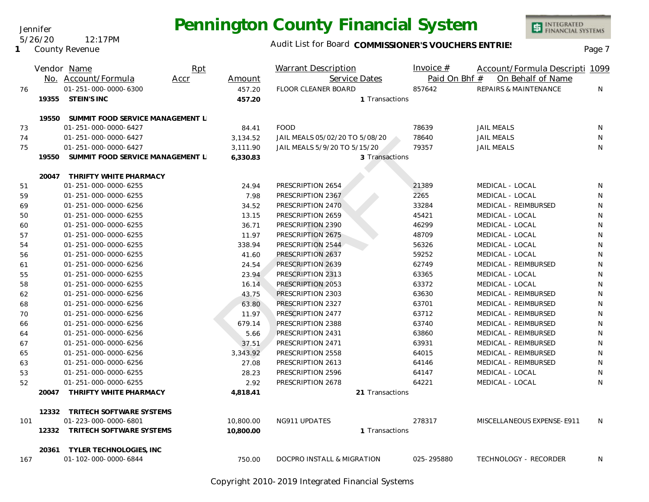Jennifer

**1** County Revenue

5/26/20 12:17PM

INTEGRATED<br>FINANCIAL SYSTEMS

### Audit List for Board COMMISSIONER'S VOUCHERS ENTRIES<br>Page 7

|     |       | Vendor Name<br>No. Account/Formula | Rpt<br>Accr | Amount    | <b>Warrant Description</b><br>Service Dates | Invoice $#$<br>Paid On Bhf # | Account/Formula Descripti 1099<br>On Behalf of Name |              |
|-----|-------|------------------------------------|-------------|-----------|---------------------------------------------|------------------------------|-----------------------------------------------------|--------------|
| 76  |       | 01-251-000-0000-6300               |             | 457.20    | FLOOR CLEANER BOARD                         | 857642                       | REPAIRS & MAINTENANCE                               | N            |
|     | 19355 | STEIN'S INC                        |             | 457.20    | 1 Transactions                              |                              |                                                     |              |
|     | 19550 | SUMMIT FOOD SERVICE MANAGEMENT L   |             |           |                                             |                              |                                                     |              |
| 73  |       | 01-251-000-0000-6427               |             | 84.41     | <b>FOOD</b>                                 | 78639                        | <b>JAIL MEALS</b>                                   | <sup>N</sup> |
| 74  |       | 01-251-000-0000-6427               |             | 3,134.52  | JAIL MEALS 05/02/20 TO 5/08/20              | 78640                        | <b>JAIL MEALS</b>                                   | N            |
| 75  |       | 01-251-000-0000-6427               |             | 3,111.90  | JAIL MEALS 5/9/20 TO 5/15/20                | 79357                        | <b>JAIL MEALS</b>                                   | N            |
|     | 19550 | SUMMIT FOOD SERVICE MANAGEMENT L   |             | 6,330.83  | 3 Transactions                              |                              |                                                     |              |
|     |       | 20047 THRIFTY WHITE PHARMACY       |             |           |                                             |                              |                                                     |              |
| 51  |       | 01-251-000-0000-6255               |             | 24.94     | PRESCRIPTION 2654                           | 21389                        | MEDICAL - LOCAL                                     | N            |
| 59  |       | 01-251-000-0000-6255               |             | 7.98      | PRESCRIPTION 2367                           | 2265                         | MEDICAL - LOCAL                                     | N            |
| 69  |       | 01-251-000-0000-6256               |             | 34.52     | PRESCRIPTION 2470                           | 33284                        | MEDICAL - REIMBURSED                                | N            |
| 50  |       | 01-251-000-0000-6255               |             | 13.15     | PRESCRIPTION 2659                           | 45421                        | MEDICAL - LOCAL                                     | N            |
| 60  |       | 01-251-000-0000-6255               |             | 36.71     | PRESCRIPTION 2390                           | 46299                        | MEDICAL - LOCAL                                     | N            |
| 57  |       | 01-251-000-0000-6255               |             | 11.97     | PRESCRIPTION 2675                           | 48709                        | MEDICAL - LOCAL                                     | N            |
| 54  |       | 01-251-000-0000-6255               |             | 338.94    | PRESCRIPTION 2544                           | 56326                        | MEDICAL - LOCAL                                     | N            |
| 56  |       | 01-251-000-0000-6255               |             | 41.60     | PRESCRIPTION 2637                           | 59252                        | MEDICAL - LOCAL                                     | N            |
| 61  |       | 01-251-000-0000-6256               |             | 24.54     | PRESCRIPTION 2639                           | 62749                        | MEDICAL - REIMBURSED                                | N            |
| 55  |       | 01-251-000-0000-6255               |             | 23.94     | PRESCRIPTION 2313                           | 63365                        | MEDICAL - LOCAL                                     | N            |
| 58  |       | 01-251-000-0000-6255               |             | 16.14     | PRESCRIPTION 2053                           | 63372                        | MEDICAL - LOCAL                                     | N            |
| 62  |       | 01-251-000-0000-6256               |             | 43.75     | PRESCRIPTION 2303                           | 63630                        | MEDICAL - REIMBURSED                                | $\mathsf{N}$ |
| 68  |       | 01-251-000-0000-6256               |             | 63.80     | PRESCRIPTION 2327                           | 63701                        | MEDICAL - REIMBURSED                                | N            |
| 70  |       | 01-251-000-0000-6256               |             | 11.97     | PRESCRIPTION 2477                           | 63712                        | MEDICAL - REIMBURSED                                | N            |
| 66  |       | 01-251-000-0000-6256               |             | 679.14    | PRESCRIPTION 2388                           | 63740                        | MEDICAL - REIMBURSED                                | N            |
| 64  |       | 01-251-000-0000-6256               |             | 5.66      | PRESCRIPTION 2431                           | 63860                        | MEDICAL - REIMBURSED                                | N            |
| 67  |       | 01-251-000-0000-6256               |             | 37.51     | PRESCRIPTION 2471                           | 63931                        | MEDICAL - REIMBURSED                                | $\mathsf{N}$ |
| 65  |       | 01-251-000-0000-6256               |             | 3,343.92  | PRESCRIPTION 2558                           | 64015                        | MEDICAL - REIMBURSED                                | N            |
| 63  |       | 01-251-000-0000-6256               |             | 27.08     | PRESCRIPTION 2613                           | 64146                        | MEDICAL - REIMBURSED                                | N            |
| 53  |       | 01-251-000-0000-6255               |             | 28.23     | PRESCRIPTION 2596                           | 64147                        | MEDICAL - LOCAL                                     | N            |
| 52  |       | 01-251-000-0000-6255               |             | 2.92      | PRESCRIPTION 2678                           | 64221                        | MEDICAL - LOCAL                                     | N            |
|     | 20047 | THRIFTY WHITE PHARMACY             |             | 4,818.41  | 21 Transactions                             |                              |                                                     |              |
|     | 12332 | TRITECH SOFTWARE SYSTEMS           |             |           |                                             |                              |                                                     |              |
| 101 |       | 01-223-000-0000-6801               |             | 10,800.00 | NG911 UPDATES                               | 278317                       | MISCELLANEOUS EXPENSE-E911                          | N.           |
|     | 12332 | TRITECH SOFTWARE SYSTEMS           |             | 10,800.00 | 1 Transactions                              |                              |                                                     |              |
|     | 20361 | <b>TYLER TECHNOLOGIES, INC</b>     |             |           |                                             |                              |                                                     |              |
| 167 |       | 01-102-000-0000-6844               |             | 750.00    | DOCPRO INSTALL & MIGRATION                  | 025-295880                   | TECHNOLOGY - RECORDER                               | N.           |

Copyright 2010-2019 Integrated Financial Systems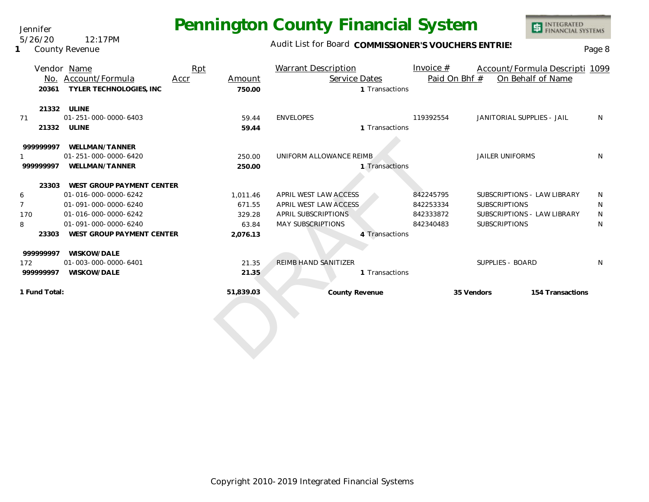Jennifer 5/26/20 12:17PM

**1** County Revenue

### Audit List for Board COMMISSIONER'S VOUCHERS ENTRIES

|                | Vendor Name                            | Rpt  |           | Warrant Description        |                | Invoice $#$   |                             | Account/Formula Descripti 1099 |    |
|----------------|----------------------------------------|------|-----------|----------------------------|----------------|---------------|-----------------------------|--------------------------------|----|
|                | No. Account/Formula                    | Accr | Amount    | Service Dates              |                | Paid On Bhf # |                             | On Behalf of Name              |    |
| 20361          | TYLER TECHNOLOGIES, INC                |      | 750.00    |                            | 1 Transactions |               |                             |                                |    |
|                |                                        |      |           |                            |                |               |                             |                                |    |
|                | 21332 ULINE                            |      |           |                            |                |               |                             |                                |    |
| 71             | 01-251-000-0000-6403                   |      | 59.44     | <b>ENVELOPES</b>           |                | 119392554     | JANITORIAL SUPPLIES - JAIL  |                                | N. |
|                | 21332 ULINE                            |      | 59.44     |                            | 1 Transactions |               |                             |                                |    |
|                |                                        |      |           |                            |                |               |                             |                                |    |
| 999999997      | WELLMAN/TANNER<br>01-251-000-0000-6420 |      |           | UNIFORM ALLOWANCE REIMB    |                |               | <b>JAILER UNIFORMS</b>      |                                | N. |
|                |                                        |      | 250.00    |                            |                |               |                             |                                |    |
| 999999997      | WELLMAN/TANNER                         |      | 250.00    |                            | 1 Transactions |               |                             |                                |    |
|                | 23303 WEST GROUP PAYMENT CENTER        |      |           |                            |                |               |                             |                                |    |
| 6              | 01-016-000-0000-6242                   |      | 1.011.46  | APRIL WEST LAW ACCESS      |                | 842245795     | SUBSCRIPTIONS - LAW LIBRARY |                                | N  |
| $\overline{7}$ | 01-091-000-0000-6240                   |      | 671.55    | APRIL WEST LAW ACCESS      |                | 842253334     | <b>SUBSCRIPTIONS</b>        |                                | N  |
| 170            | 01-016-000-0000-6242                   |      | 329.28    | <b>APRIL SUBSCRIPTIONS</b> |                | 842333872     | SUBSCRIPTIONS - LAW LIBRARY |                                | N  |
| 8              | 01-091-000-0000-6240                   |      | 63.84     | <b>MAY SUBSCRIPTIONS</b>   |                | 842340483     | <b>SUBSCRIPTIONS</b>        |                                | N  |
| 23303          | WEST GROUP PAYMENT CENTER              |      | 2,076.13  |                            | 4 Transactions |               |                             |                                |    |
|                |                                        |      |           |                            |                |               |                             |                                |    |
| 999999997      | WISKOW/DALE                            |      |           |                            |                |               |                             |                                |    |
| 172            | 01-003-000-0000-6401                   |      | 21.35     | REIMB HAND SANITIZER       |                |               | SUPPLIES - BOARD            |                                | N  |
| 999999997      | WISKOW/DALE                            |      | 21.35     |                            | 1 Transactions |               |                             |                                |    |
| 1 Fund Total:  |                                        |      | 51,839.03 | County Revenue             |                |               | 35 Vendors                  | 154 Transactions               |    |
|                |                                        |      |           |                            |                |               |                             |                                |    |
|                |                                        |      |           |                            |                |               |                             |                                |    |
|                |                                        |      |           |                            |                |               |                             |                                |    |
|                |                                        |      |           |                            |                |               |                             |                                |    |
|                |                                        |      |           |                            |                |               |                             |                                |    |
|                |                                        |      |           |                            |                |               |                             |                                |    |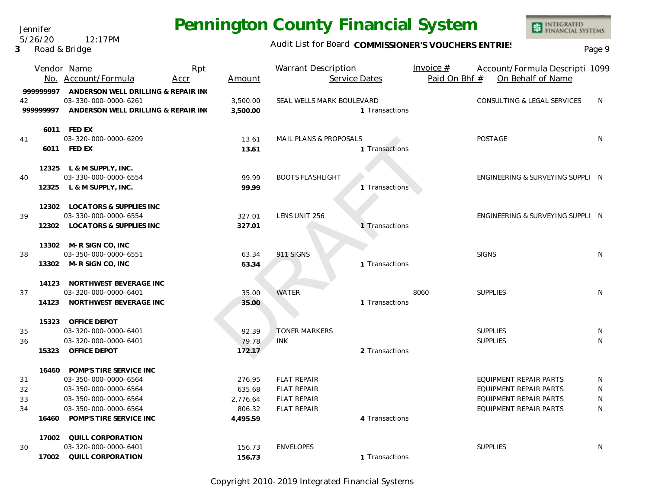Jennifer 5/26/20 12:17PM

**3** Road & Bridge

### Audit List for Board COMMISSIONER'S VOUCHERS ENTRIES<br>Page 9

|                               | Vendor Name<br>No. Account/Formula                                                                                                                       | Rpt<br>Accr | Amount                                             | <b>Warrant Description</b><br>Service Dates                                          |                | Invoice $#$<br>Paid On Bhf # | Account/Formula Descripti 1099<br>On Behalf of Name                                                                              |                  |
|-------------------------------|----------------------------------------------------------------------------------------------------------------------------------------------------------|-------------|----------------------------------------------------|--------------------------------------------------------------------------------------|----------------|------------------------------|----------------------------------------------------------------------------------------------------------------------------------|------------------|
| 42<br>99999997                | 999999997 ANDERSON WELL DRILLING & REPAIR INC<br>03-330-000-0000-6261<br>ANDERSON WELL DRILLING & REPAIR ING                                             |             | 3,500.00<br>3,500.00                               | SEAL WELLS MARK BOULEVARD                                                            | 1 Transactions |                              | CONSULTING & LEGAL SERVICES                                                                                                      | N                |
| 41                            | 6011 FED EX<br>03-320-000-0000-6209<br>6011 FED EX                                                                                                       |             | 13.61<br>13.61                                     | <b>MAIL PLANS &amp; PROPOSALS</b>                                                    | 1 Transactions |                              | <b>POSTAGE</b>                                                                                                                   | N                |
| 40                            | 12325 L & M SUPPLY, INC.<br>03-330-000-0000-6554<br>12325 L & M SUPPLY, INC.                                                                             |             | 99.99<br>99.99                                     | <b>BOOTS FLASHLIGHT</b>                                                              | 1 Transactions |                              | ENGINEERING & SURVEYING SUPPLI N                                                                                                 |                  |
| 39                            | 12302 LOCATORS & SUPPLIES INC<br>03-330-000-0000-6554<br>12302 LOCATORS & SUPPLIES INC                                                                   |             | 327.01<br>327.01                                   | LENS UNIT 256                                                                        | 1 Transactions |                              | ENGINEERING & SURVEYING SUPPLI N                                                                                                 |                  |
| 38                            | 13302 M-R SIGN CO, INC<br>03-350-000-0000-6551<br>13302 M-R SIGN CO, INC                                                                                 |             | 63.34<br>63.34                                     | 911 SIGNS                                                                            | 1 Transactions |                              | <b>SIGNS</b>                                                                                                                     | <sup>N</sup>     |
| 37                            | 14123 NORTHWEST BEVERAGE INC<br>03-320-000-0000-6401<br>14123 NORTHWEST BEVERAGE INC                                                                     |             | 35.00<br>35.00                                     | WATER                                                                                | 1 Transactions | 8060                         | <b>SUPPLIES</b>                                                                                                                  | N                |
| 35<br>36<br>15323             | 15323 OFFICE DEPOT<br>03-320-000-0000-6401<br>03-320-000-0000-6401<br>OFFICE DEPOT                                                                       |             | 92.39<br>79.78<br>172.17                           | <b>TONER MARKERS</b><br><b>INK</b>                                                   | 2 Transactions |                              | <b>SUPPLIES</b><br><b>SUPPLIES</b>                                                                                               | N<br>N           |
| 31<br>32<br>33<br>34<br>16460 | 16460 POMP'S TIRE SERVICE INC<br>03-350-000-0000-6564<br>03-350-000-0000-6564<br>03-350-000-0000-6564<br>03-350-000-0000-6564<br>POMP'S TIRE SERVICE INC |             | 276.95<br>635.68<br>2.776.64<br>806.32<br>4,495.59 | <b>FLAT REPAIR</b><br><b>FLAT REPAIR</b><br><b>FLAT REPAIR</b><br><b>FLAT REPAIR</b> | 4 Transactions |                              | <b>EQUIPMENT REPAIR PARTS</b><br><b>EQUIPMENT REPAIR PARTS</b><br><b>EQUIPMENT REPAIR PARTS</b><br><b>EQUIPMENT REPAIR PARTS</b> | N<br>N<br>N<br>N |
| 30<br>17002                   | 17002 QUILL CORPORATION<br>03-320-000-0000-6401<br>QUILL CORPORATION                                                                                     |             | 156.73<br>156.73                                   | <b>ENVELOPES</b>                                                                     | 1 Transactions |                              | <b>SUPPLIES</b>                                                                                                                  | N                |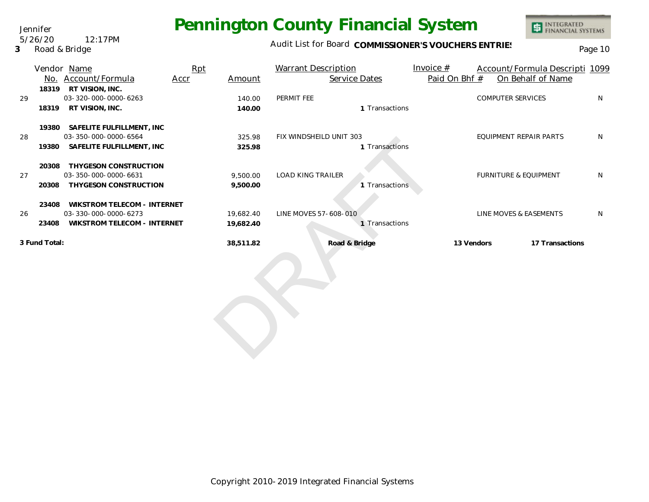Audit List for Board COMMISSIONER'S VOUCHERS ENTRIES<br>Page 10

|               | Vendor Name                     | Rpt  |           | <b>Warrant Description</b> | Invoice $#$   |  | Account/Formula Descripti 1099   |    |
|---------------|---------------------------------|------|-----------|----------------------------|---------------|--|----------------------------------|----|
|               | No. Account/Formula             | Accr | Amount    | Service Dates              | Paid On Bhf # |  | On Behalf of Name                |    |
| 18319         | RT VISION, INC.                 |      |           |                            |               |  |                                  |    |
| 29            | 03-320-000-0000-6263            |      | 140.00    | PERMIT FEE                 |               |  | <b>COMPUTER SERVICES</b>         | N  |
| 18319         | RT VISION, INC.                 |      | 140.00    | 1 Transactions             |               |  |                                  |    |
|               | 19380 SAFELITE FULFILLMENT, INC |      |           |                            |               |  |                                  |    |
| 28            | 03-350-000-0000-6564            |      | 325.98    | FIX WINDSHEILD UNIT 303    |               |  | <b>EQUIPMENT REPAIR PARTS</b>    | N  |
| 19380         | SAFELITE FULFILLMENT, INC       |      | 325.98    | 1 Transactions             |               |  |                                  |    |
| 20308         | THYGESON CONSTRUCTION           |      |           |                            |               |  |                                  |    |
| 27            | 03-350-000-0000-6631            |      | 9,500.00  | <b>LOAD KING TRAILER</b>   |               |  | <b>FURNITURE &amp; EQUIPMENT</b> | N  |
| 20308         | THYGESON CONSTRUCTION           |      | 9,500.00  | 1 Transactions             |               |  |                                  |    |
| 23408         | WIKSTROM TELECOM - INTERNET     |      |           |                            |               |  |                                  |    |
| 26            | 03-330-000-0000-6273            |      | 19,682.40 | LINE MOVES 57-608-010      |               |  | LINE MOVES & EASEMENTS           | N. |
| 23408         | WIKSTROM TELECOM - INTERNET     |      | 19,682.40 | 1 Transactions             |               |  |                                  |    |
| 3 Fund Total: |                                 |      | 38,511.82 | Road & Bridge              | 13 Vendors    |  | 17 Transactions                  |    |
|               |                                 |      |           |                            |               |  |                                  |    |

#### Jennifer 5/26/20 12:17PM

**3** Road & Bridge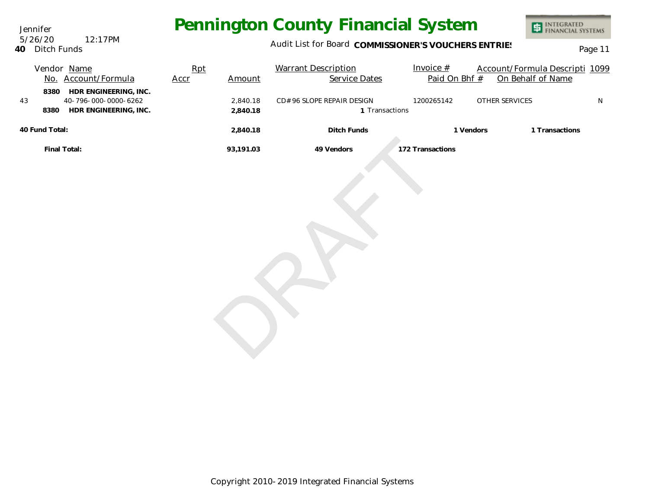Jennifer **40** Ditch Funds 5/26/20 12:17PM

### Audit List for Board COMMISSIONER'S VOUCHERS ENTRIES<br>Page 11

|    |                | Vendor Name<br>No. Account/Formula                                          | Rpt<br>Accr | Amount               | <b>Warrant Description</b><br><b>Service Dates</b> | Invoice $#$<br>Paid On Bhf # | Account/Formula Descripti 1099<br>On Behalf of Name |           |
|----|----------------|-----------------------------------------------------------------------------|-------------|----------------------|----------------------------------------------------|------------------------------|-----------------------------------------------------|-----------|
| 43 | 8380           | HDR ENGINEERING, INC.<br>40-796-000-0000-6262<br>8380 HDR ENGINEERING, INC. |             | 2,840.18<br>2,840.18 | CD# 96 SLOPE REPAIR DESIGN<br>1 Transactions       | 1200265142                   | OTHER SERVICES                                      | ${\sf N}$ |
|    | 40 Fund Total: |                                                                             |             | 2,840.18             | Ditch Funds                                        | 1 Vendors                    | 1 Transactions                                      |           |
|    | Final Total:   |                                                                             |             | 93,191.03            | 49 Vendors                                         | 172 Transactions             |                                                     |           |
|    |                |                                                                             |             |                      |                                                    |                              |                                                     |           |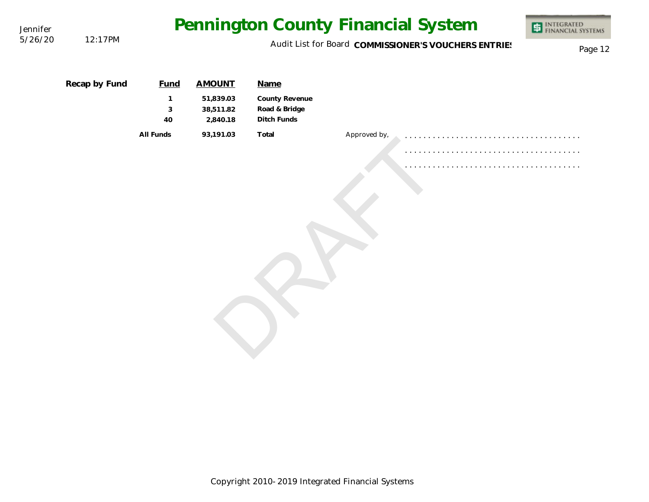| Jennifer |               |                                                      |                                    |                                                |              | Pennington County Financial System | INTEGRATED<br>FINANCIAL SYSTEMS |  |  |
|----------|---------------|------------------------------------------------------|------------------------------------|------------------------------------------------|--------------|------------------------------------|---------------------------------|--|--|
| 5/26/20  | 12:17PM       | Audit List for Board COMMISSIONER'S VOUCHERS ENTRIES |                                    |                                                |              |                                    |                                 |  |  |
|          | Recap by Fund | <b>Fund</b>                                          | <b>AMOUNT</b>                      | Name                                           |              |                                    |                                 |  |  |
|          |               | 1<br>3<br>40                                         | 51,839.03<br>38,511.82<br>2,840.18 | County Revenue<br>Road & Bridge<br>Ditch Funds |              |                                    |                                 |  |  |
|          |               | All Funds                                            | 93,191.03                          | Total                                          | Approved by, |                                    |                                 |  |  |
|          |               |                                                      |                                    |                                                |              |                                    |                                 |  |  |
|          |               |                                                      |                                    |                                                |              |                                    |                                 |  |  |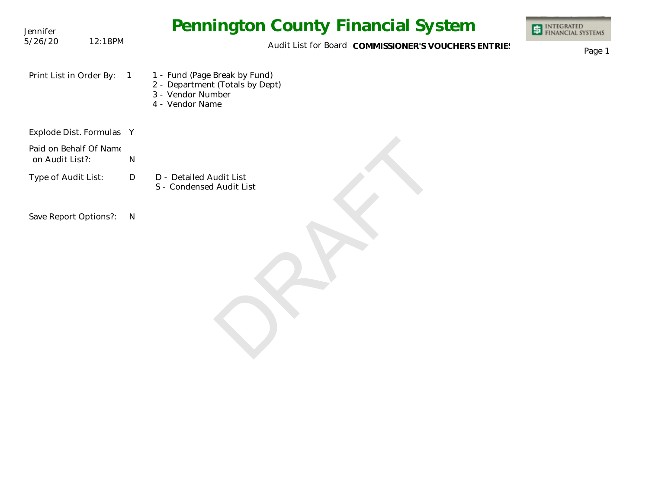| Jennifer                                  |         | <b>Pennington County Financial System</b>                                                                              | INTEGRATED<br>FINANCIAL SYSTEMS |
|-------------------------------------------|---------|------------------------------------------------------------------------------------------------------------------------|---------------------------------|
| 5/26/20                                   | 12:18PM | Audit List for Board COMMISSIONER'S VOUCHERS ENTRIES                                                                   | Page 1                          |
| Print List in Order By:                   |         | 1 - Fund (Page Break by Fund)<br>$\sqrt{1}$<br>2 - Department (Totals by Dept)<br>3 - Vendor Number<br>4 - Vendor Name |                                 |
| Explode Dist. Formulas Y                  |         |                                                                                                                        |                                 |
| Paid on Behalf Of Name<br>on Audit List?: |         | N                                                                                                                      |                                 |
| Type of Audit List:                       |         | D - Detailed Audit List<br>D<br>S - Condensed Audit List                                                               |                                 |
| Save Report Options?:                     |         | $\mathsf{N}$                                                                                                           |                                 |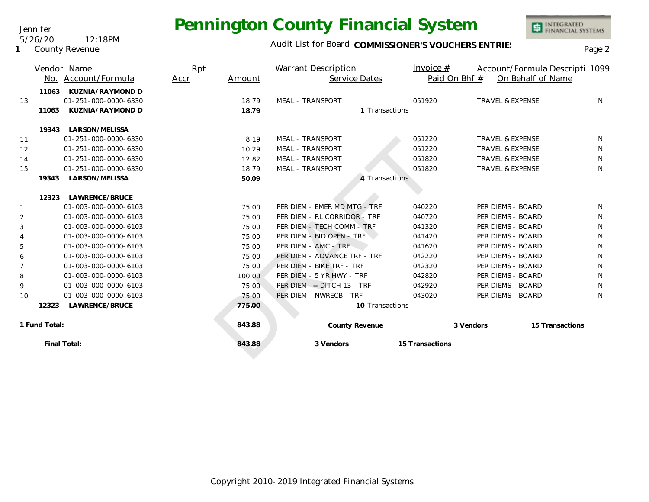Audit List for Board COMMISSIONER'S VOUCHERS ENTRIES<br>Page 2

INTEGRATED<br>FINANCIAL SYSTEMS

|                |               | Vendor Name          | Rpt  |        | Warrant Description           | Invoice $#$     |                             | Account/Formula Descripti 1099 |
|----------------|---------------|----------------------|------|--------|-------------------------------|-----------------|-----------------------------|--------------------------------|
|                |               | No. Account/Formula  | Accr | Amount | Service Dates                 |                 | Paid On Bhf #               | On Behalf of Name              |
|                | 11063         | KUZNIA/RAYMOND D     |      |        |                               |                 |                             |                                |
| 13             |               | 01-251-000-0000-6330 |      | 18.79  | <b>MEAL - TRANSPORT</b>       | 051920          | <b>TRAVEL &amp; EXPENSE</b> | N                              |
|                | 11063         | KUZNIA/RAYMOND D     |      | 18.79  | 1 Transactions                |                 |                             |                                |
|                | 19343         | LARSON/MELISSA       |      |        |                               |                 |                             |                                |
| 11             |               | 01-251-000-0000-6330 |      | 8.19   | MEAL - TRANSPORT              | 051220          | <b>TRAVEL &amp; EXPENSE</b> | N.                             |
| 12             |               | 01-251-000-0000-6330 |      | 10.29  | <b>MEAL - TRANSPORT</b>       | 051220          | <b>TRAVEL &amp; EXPENSE</b> | N                              |
| 14             |               | 01-251-000-0000-6330 |      | 12.82  | MEAL - TRANSPORT              | 051820          | <b>TRAVEL &amp; EXPENSE</b> | N                              |
| 15             |               | 01-251-000-0000-6330 |      | 18.79  | MEAL - TRANSPORT              | 051820          | <b>TRAVEL &amp; EXPENSE</b> | N                              |
|                | 19343         | LARSON/MELISSA       |      | 50.09  |                               | 4 Transactions  |                             |                                |
|                |               |                      |      |        |                               |                 |                             |                                |
|                | 12323         | LAWRENCE/BRUCE       |      |        |                               |                 |                             |                                |
| 1              |               | 01-003-000-0000-6103 |      | 75.00  | PER DIEM - EMER MD MTG - TRF  | 040220          | PER DIEMS - BOARD           | N                              |
| 2              |               | 01-003-000-0000-6103 |      | 75.00  | PER DIEM - RL CORRIDOR - TRF  | 040720          | PER DIEMS - BOARD           | N                              |
| 3              |               | 01-003-000-0000-6103 |      | 75.00  | PER DIEM - TECH COMM - TRF    | 041320          | PER DIEMS - BOARD           | N                              |
| 4              |               | 01-003-000-0000-6103 |      | 75.00  | PER DIEM - BID OPEN - TRF     | 041420          | PER DIEMS - BOARD           | N                              |
| 5              |               | 01-003-000-0000-6103 |      | 75.00  | PER DIEM - AMC - TRF          | 041620          | PER DIEMS - BOARD           | N                              |
| 6              |               | 01-003-000-0000-6103 |      | 75.00  | PER DIEM - ADVANCE TRF - TRF  | 042220          | PER DIEMS - BOARD           | N                              |
| $\overline{7}$ |               | 01-003-000-0000-6103 |      | 75.00  | PER DIEM - BIKE TRF - TRF     | 042320          | PER DIEMS - BOARD           | N                              |
| 8              |               | 01-003-000-0000-6103 |      | 100.00 | PER DIEM - 5 YR HWY - TRF     | 042820          | PER DIEMS - BOARD           | N                              |
| 9              |               | 01-003-000-0000-6103 |      | 75.00  | PER DIEM $-$ = DITCH 13 - TRF | 042920          | PER DIEMS - BOARD           | N                              |
| 10             |               | 01-003-000-0000-6103 |      | 75.00  | PER DIEM - NWRECB - TRF       | 043020          | PER DIEMS - BOARD           | N                              |
|                | 12323         | LAWRENCE/BRUCE       |      | 775.00 | 10 Transactions               |                 |                             |                                |
|                | 1 Fund Total: |                      |      | 843.88 | County Revenue                |                 | 3 Vendors                   | 15 Transactions                |
|                |               | Final Total:         |      | 843.88 | 3 Vendors                     | 15 Transactions |                             |                                |
|                |               |                      |      |        |                               |                 |                             |                                |

Jennifer 5/26/20 12:18PM

**1** County Revenue